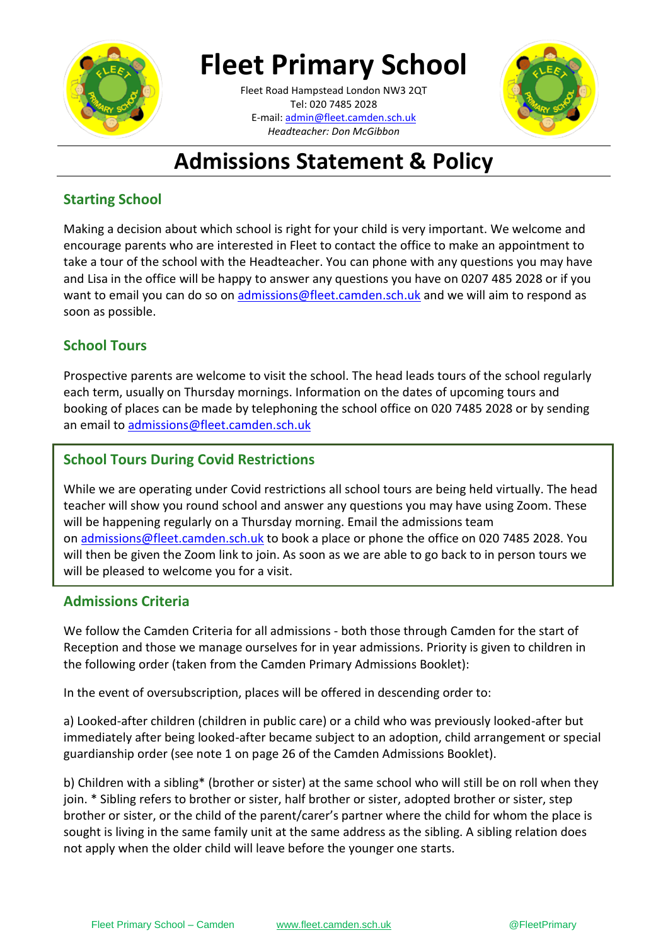

# **Fleet Primary School**

**\_\_\_\_\_\_\_\_\_\_[\\_\\_\\_\\_\\_\\_\\_\\_\\_\\_\\_\\_\\_](mailto:admin@fleet.camden.sch.uk)\_\_\_\_\_\_** E-mail: admin@fleet.camden.sch.uk Fleet Road Hampstead London NW3 2QT Tel: 020 7485 2028 *Headteacher: Don McGibbon*



# **Admissions Statement & Policy**

## **Starting School**

Making a decision about which school is right for your child is very important. We welcome and encourage parents who are interested in Fleet to contact the office to make an appointment to take a tour of the school with the Headteacher. You can phone with any questions you may have and Lisa in the office will be happy to answer any questions you have on 0207 485 2028 or if you want to email you can do so on [admissions@fleet.camden.sch.uk](mailto:admissions@fleet.camden.sch.uk) and we will aim to respond as soon as possible.

## **School Tours**

Prospective parents are welcome to visit the school. The head leads tours of the school regularly each term, usually on Thursday mornings. Information on the dates of upcoming tours and booking of places can be made by telephoning the school office on 020 7485 2028 or by sending an email to [admissions@fleet.camden.sch.uk](mailto:admissions@fleet.camden.sch.uk)

## **School Tours During Covid Restrictions**

While we are operating under Covid restrictions all school tours are being held virtually. The head teacher will show you round school and answer any questions you may have using Zoom. These will be happening regularly on a Thursday morning. Email the admissions team on [admissions@fleet.camden.sch.uk](mailto:admissions@fleet.camden.sch.uk) to book a place or phone the office on 020 7485 2028. You will then be given the Zoom link to join. As soon as we are able to go back to in person tours we will be pleased to welcome you for a visit.

## **Admissions Criteria**

We follow the Camden Criteria for all admissions - both those through Camden for the start of Reception and those we manage ourselves for in year admissions. Priority is given to children in the following order (taken from the Camden Primary Admissions Booklet):

In the event of oversubscription, places will be offered in descending order to:

a) Looked-after children (children in public care) or a child who was previously looked-after but immediately after being looked-after became subject to an adoption, child arrangement or special guardianship order (see note 1 on page 26 of the Camden Admissions Booklet).

b) Children with a sibling\* (brother or sister) at the same school who will still be on roll when they join. \* Sibling refers to brother or sister, half brother or sister, adopted brother or sister, step brother or sister, or the child of the parent/carer's partner where the child for whom the place is sought is living in the same family unit at the same address as the sibling. A sibling relation does not apply when the older child will leave before the younger one starts.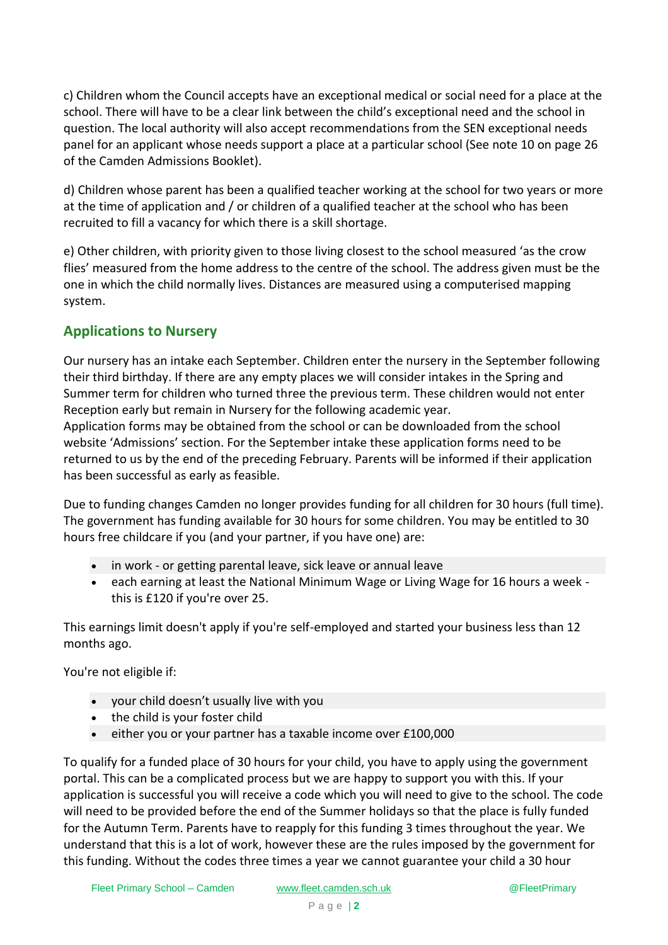c) Children whom the Council accepts have an exceptional medical or social need for a place at the school. There will have to be a clear link between the child's exceptional need and the school in question. The local authority will also accept recommendations from the SEN exceptional needs panel for an applicant whose needs support a place at a particular school (See note 10 on page 26 of the Camden Admissions Booklet).

d) Children whose parent has been a qualified teacher working at the school for two years or more at the time of application and / or children of a qualified teacher at the school who has been recruited to fill a vacancy for which there is a skill shortage.

e) Other children, with priority given to those living closest to the school measured 'as the crow flies' measured from the home address to the centre of the school. The address given must be the one in which the child normally lives. Distances are measured using a computerised mapping system.

### **Applications to Nursery**

Our nursery has an intake each September. Children enter the nursery in the September following their third birthday. If there are any empty places we will consider intakes in the Spring and Summer term for children who turned three the previous term. These children would not enter Reception early but remain in Nursery for the following academic year.

Application forms may be obtained from the school or can be downloaded from the school website 'Admissions' section. For the September intake these application forms need to be returned to us by the end of the preceding February. Parents will be informed if their application has been successful as early as feasible.

Due to funding changes Camden no longer provides funding for all children for 30 hours (full time). The government has funding available for 30 hours for some children. You may be entitled to 30 hours free childcare if you (and your partner, if you have one) are:

- in work or getting parental leave, sick leave or annual leave
- each earning at least the National Minimum Wage or Living Wage for 16 hours a week this is £120 if you're over 25.

This earnings limit doesn't apply if you're self-employed and started your business less than 12 months ago.

You're not eligible if:

- your child doesn't usually live with you
- the child is your foster child
- either you or your partner has a taxable income over £100,000

To qualify for a funded place of 30 hours for your child, you have to apply using the government portal. This can be a complicated process but we are happy to support you with this. If your application is successful you will receive a code which you will need to give to the school. The code will need to be provided before the end of the Summer holidays so that the place is fully funded for the Autumn Term. Parents have to reapply for this funding 3 times throughout the year. We understand that this is a lot of work, however these are the rules imposed by the government for this funding. Without the codes three times a year we cannot guarantee your child a 30 hour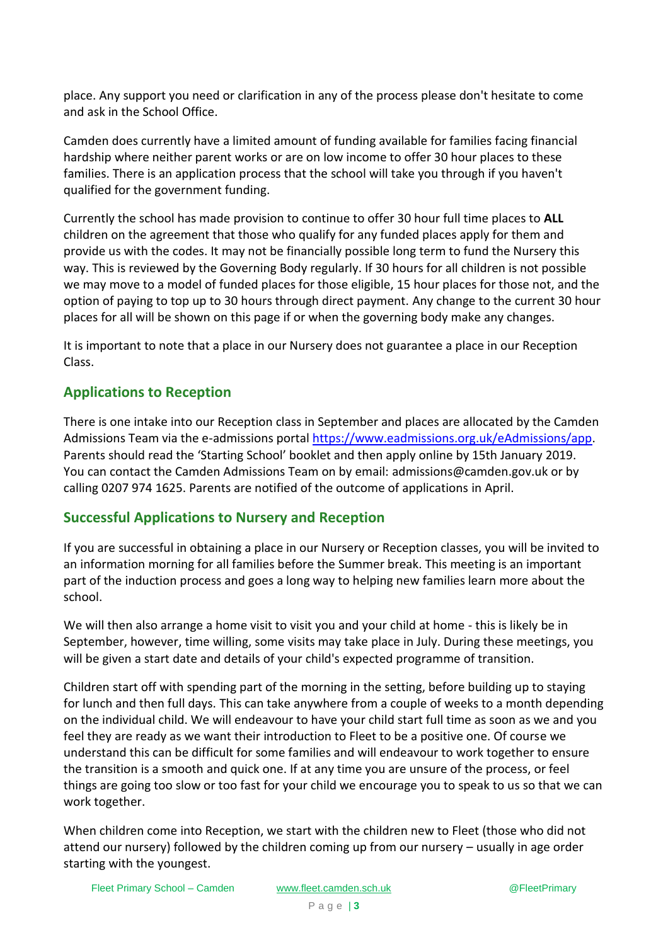place. Any support you need or clarification in any of the process please don't hesitate to come and ask in the School Office.

Camden does currently have a limited amount of funding available for families facing financial hardship where neither parent works or are on low income to offer 30 hour places to these families. There is an application process that the school will take you through if you haven't qualified for the government funding.

Currently the school has made provision to continue to offer 30 hour full time places to **ALL** children on the agreement that those who qualify for any funded places apply for them and provide us with the codes. It may not be financially possible long term to fund the Nursery this way. This is reviewed by the Governing Body regularly. If 30 hours for all children is not possible we may move to a model of funded places for those eligible, 15 hour places for those not, and the option of paying to top up to 30 hours through direct payment. Any change to the current 30 hour places for all will be shown on this page if or when the governing body make any changes.

It is important to note that a place in our Nursery does not guarantee a place in our Reception Class.

#### **Applications to Reception**

There is one intake into our Reception class in September and places are allocated by the Camden Admissions Team via the e-admissions portal [https://www.eadmissions.org.uk/eAdmissions/app.](https://www.eadmissions.org.uk/eAdmissions/app) Parents should read the 'Starting School' booklet and then apply online by 15th January 2019. You can contact the Camden Admissions Team on by email: admissions@camden.gov.uk or by calling 0207 974 1625. Parents are notified of the outcome of applications in April.

#### **Successful Applications to Nursery and Reception**

If you are successful in obtaining a place in our Nursery or Reception classes, you will be invited to an information morning for all families before the Summer break. This meeting is an important part of the induction process and goes a long way to helping new families learn more about the school.

We will then also arrange a home visit to visit you and your child at home - this is likely be in September, however, time willing, some visits may take place in July. During these meetings, you will be given a start date and details of your child's expected programme of transition.

Children start off with spending part of the morning in the setting, before building up to staying for lunch and then full days. This can take anywhere from a couple of weeks to a month depending on the individual child. We will endeavour to have your child start full time as soon as we and you feel they are ready as we want their introduction to Fleet to be a positive one. Of course we understand this can be difficult for some families and will endeavour to work together to ensure the transition is a smooth and quick one. If at any time you are unsure of the process, or feel things are going too slow or too fast for your child we encourage you to speak to us so that we can work together.

When children come into Reception, we start with the children new to Fleet (those who did not attend our nursery) followed by the children coming up from our nursery – usually in age order starting with the youngest.

Fleet Primary School – Camden [www.fleet.camden.sch.uk](http://www.fleet.camden.sch.uk/) @FleetPrimary @FleetPrimary